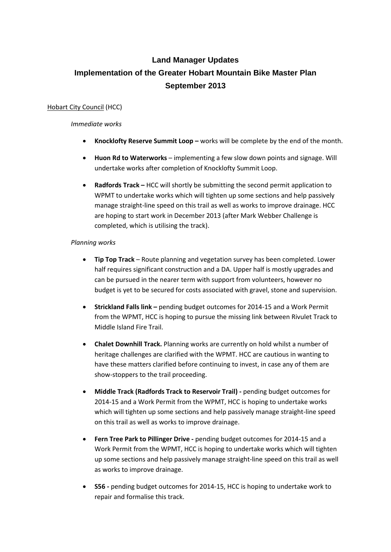# **Land Manager Updates Implementation of the Greater Hobart Mountain Bike Master Plan September 2013**

# Hobart City Council (HCC)

## *Immediate works*

- **Knocklofty Reserve Summit Loop –** works will be complete by the end of the month.
- **Huon Rd to Waterworks** implementing a few slow down points and signage. Will undertake works after completion of Knocklofty Summit Loop.
- **Radfords Track –** HCC will shortly be submitting the second permit application to WPMT to undertake works which will tighten up some sections and help passively manage straight-line speed on this trail as well as works to improve drainage. HCC are hoping to start work in December 2013 (after Mark Webber Challenge is completed, which is utilising the track).

# *Planning works*

- **Tip Top Track**  Route planning and vegetation survey has been completed. Lower half requires significant construction and a DA. Upper half is mostly upgrades and can be pursued in the nearer term with support from volunteers, however no budget is yet to be secured for costs associated with gravel, stone and supervision.
- **Strickland Falls link –** pending budget outcomes for 2014-15 and a Work Permit from the WPMT, HCC is hoping to pursue the missing link between Rivulet Track to Middle Island Fire Trail.
- **Chalet Downhill Track.** Planning works are currently on hold whilst a number of heritage challenges are clarified with the WPMT. HCC are cautious in wanting to have these matters clarified before continuing to invest, in case any of them are show-stoppers to the trail proceeding.
- **Middle Track (Radfords Track to Reservoir Trail) -** pending budget outcomes for 2014-15 and a Work Permit from the WPMT, HCC is hoping to undertake works which will tighten up some sections and help passively manage straight-line speed on this trail as well as works to improve drainage.
- **Fern Tree Park to Pillinger Drive -** pending budget outcomes for 2014-15 and a Work Permit from the WPMT, HCC is hoping to undertake works which will tighten up some sections and help passively manage straight-line speed on this trail as well as works to improve drainage.
- **S56 -** pending budget outcomes for 2014-15, HCC is hoping to undertake work to repair and formalise this track.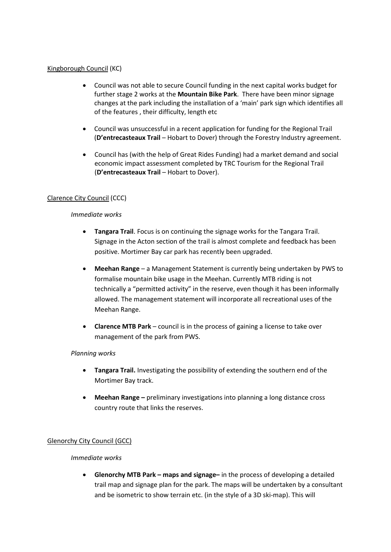## Kingborough Council (KC)

- Council was not able to secure Council funding in the next capital works budget for further stage 2 works at the **Mountain Bike Park**. There have been minor signage changes at the park including the installation of a 'main' park sign which identifies all of the features , their difficulty, length etc
- Council was unsuccessful in a recent application for funding for the Regional Trail (**D'entrecasteaux Trail** – Hobart to Dover) through the Forestry Industry agreement.
- Council has (with the help of Great Rides Funding) had a market demand and social economic impact assessment completed by TRC Tourism for the Regional Trail (**D'entrecasteaux Trail** – Hobart to Dover).

# Clarence City Council (CCC)

#### *Immediate works*

- **Tangara Trail**. Focus is on continuing the signage works for the Tangara Trail. Signage in the Acton section of the trail is almost complete and feedback has been positive. Mortimer Bay car park has recently been upgraded.
- **Meehan Range**  a Management Statement is currently being undertaken by PWS to formalise mountain bike usage in the Meehan. Currently MTB riding is not technically a "permitted activity" in the reserve, even though it has been informally allowed. The management statement will incorporate all recreational uses of the Meehan Range.
- **Clarence MTB Park**  council is in the process of gaining a license to take over management of the park from PWS.

#### *Planning works*

- **Tangara Trail.** Investigating the possibility of extending the southern end of the Mortimer Bay track.
- **Meehan Range –** preliminary investigations into planning a long distance cross country route that links the reserves.

# Glenorchy City Council (GCC)

#### *Immediate works*

• **Glenorchy MTB Park – maps and signage–** in the process of developing a detailed trail map and signage plan for the park. The maps will be undertaken by a consultant and be isometric to show terrain etc. (in the style of a 3D ski-map). This will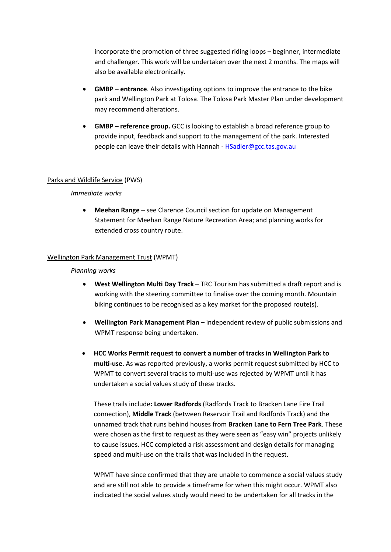incorporate the promotion of three suggested riding loops – beginner, intermediate and challenger. This work will be undertaken over the next 2 months. The maps will also be available electronically.

- **GMBP – entrance**. Also investigating options to improve the entrance to the bike park and Wellington Park at Tolosa. The Tolosa Park Master Plan under development may recommend alterations.
- **GMBP – reference group.** GCC is looking to establish a broad reference group to provide input, feedback and support to the management of the park. Interested people can leave their details with Hannah - [HSadler@gcc.tas.gov.au](mailto:HSadler@gcc.tas.gov.au)

#### Parks and Wildlife Service (PWS)

## *Immediate works*

• **Meehan Range** – see Clarence Council section for update on Management Statement for Meehan Range Nature Recreation Area; and planning works for extended cross country route.

## Wellington Park Management Trust (WPMT)

#### *Planning works*

- **West Wellington Multi Day Track** TRC Tourism has submitted a draft report and is working with the steering committee to finalise over the coming month. Mountain biking continues to be recognised as a key market for the proposed route(s).
- **Wellington Park Management Plan**  independent review of public submissions and WPMT response being undertaken.
- **HCC Works Permit request to convert a number of tracks in Wellington Park to multi-use.** As was reported previously, a works permit request submitted by HCC to WPMT to convert several tracks to multi-use was rejected by WPMT until it has undertaken a social values study of these tracks.

These trails include**: Lower Radfords** (Radfords Track to Bracken Lane Fire Trail connection), **Middle Track** (between Reservoir Trail and Radfords Track) and the unnamed track that runs behind houses from **Bracken Lane to Fern Tree Park**. These were chosen as the first to request as they were seen as "easy win" projects unlikely to cause issues. HCC completed a risk assessment and design details for managing speed and multi-use on the trails that was included in the request.

WPMT have since confirmed that they are unable to commence a social values study and are still not able to provide a timeframe for when this might occur. WPMT also indicated the social values study would need to be undertaken for all tracks in the